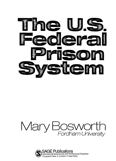

## Mary Bosworth Fordham University

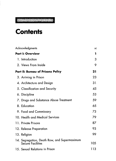## 

## **Contents**

| Acknowledgments                                                          | xi  |
|--------------------------------------------------------------------------|-----|
| <b>Part I: Overview</b>                                                  | 1   |
| 1. Introduction                                                          | 3   |
| 2. Views From Inside                                                     | 9   |
| <b>Part II: Bureau of Prisons Policy</b>                                 | 21  |
| 3. Arriving in Prison                                                    | 23  |
| 4. Architecture and Design                                               | 31  |
| 5. Classification and Security                                           | 45  |
| 6. Discipline                                                            | 53  |
| 7. Drugs and Substance Abuse Treatment                                   | 59  |
| 8. Education                                                             | 65  |
| 9. Food and Commissary                                                   | 73  |
| 10. Health and Medical Services                                          | 79  |
| 11. Private Prisons                                                      | 87  |
| 12. Release Preparation                                                  | 93  |
| 13. Religion                                                             | 99  |
| 14. Segregation, Death Row, and Supermaximum<br><b>Secure Facilities</b> | 105 |
| 15. Sexual Relations in Prison                                           | 113 |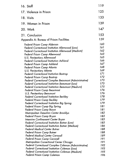| 125<br>17. Violence in Prison<br>133<br>18. Visits<br>139<br>19. Women in Prison<br>147<br>20. Work<br>153<br>21. Conclusion<br>159<br>Appendix A: Bureau of Prison Facilities<br>160<br>Federal Prison Camp Alderson<br>161<br>Federal Correctional Institution Allenwood (Low)<br>162<br>Federal Correctional Institution Allenwood (Medium)<br>163<br><b>Federal Prison Camp Allenwood</b><br>165<br>U.S. Penitentiary Allenwood<br>166<br><b>Federal Correctional Institution Ashland</b><br>167<br><b>Federal Prison Camp Ashland</b><br>168<br><b>Federal Prison Camp Atlanta</b><br>169<br>U.S. Penitentiary Atlanta<br>171<br><b>Federal Correctional Institution Bastrop</b><br>172<br><b>Federal Prison Camp Bastrop</b><br>173<br>Federal Correctional Complex Beaumont (Administrative)<br>173<br>Federal Correctional Institution Beaumont (Low)<br>175<br>Federal Correctional Institution Beaumont (Medium)<br>176<br><b>Federal Prison Camp Beaumont</b><br>176<br><b>U.S. Penitentiary Beaumont</b><br>178<br><b>Federal Correctional Institution Beckley</b><br>179<br><b>Federal Prison Camp Beckley</b><br>179<br>Federal Correctional Institution Big Spring<br>181<br>Federal Prison Camp Big Spring<br>181<br>Federal Prison Camp Boron<br>182<br>Metropolitan Detention Center Brooklyn<br>183<br>Federal Prison Camp Bryan<br>185<br>Intensive Confinement Center Bryan<br>185<br>Federal Correctional Institution Butner (Low)<br>186<br>Federal Correctional Institution Butner (Medium)<br>188<br><b>Federal Medical Center Butner</b><br>188<br><b>Federal Prison Camp Butner</b><br>189<br><b>Federal Medical Center Carswell</b><br>191<br><b>Federal Prison Camp Carswell</b><br>191<br>Metropolitan Correctional Center Chicago | 16. Staff                                             | 119 |
|------------------------------------------------------------------------------------------------------------------------------------------------------------------------------------------------------------------------------------------------------------------------------------------------------------------------------------------------------------------------------------------------------------------------------------------------------------------------------------------------------------------------------------------------------------------------------------------------------------------------------------------------------------------------------------------------------------------------------------------------------------------------------------------------------------------------------------------------------------------------------------------------------------------------------------------------------------------------------------------------------------------------------------------------------------------------------------------------------------------------------------------------------------------------------------------------------------------------------------------------------------------------------------------------------------------------------------------------------------------------------------------------------------------------------------------------------------------------------------------------------------------------------------------------------------------------------------------------------------------------------------------------------------------------------------------------------------------------------------------------------------------|-------------------------------------------------------|-----|
|                                                                                                                                                                                                                                                                                                                                                                                                                                                                                                                                                                                                                                                                                                                                                                                                                                                                                                                                                                                                                                                                                                                                                                                                                                                                                                                                                                                                                                                                                                                                                                                                                                                                                                                                                                  |                                                       |     |
|                                                                                                                                                                                                                                                                                                                                                                                                                                                                                                                                                                                                                                                                                                                                                                                                                                                                                                                                                                                                                                                                                                                                                                                                                                                                                                                                                                                                                                                                                                                                                                                                                                                                                                                                                                  |                                                       |     |
|                                                                                                                                                                                                                                                                                                                                                                                                                                                                                                                                                                                                                                                                                                                                                                                                                                                                                                                                                                                                                                                                                                                                                                                                                                                                                                                                                                                                                                                                                                                                                                                                                                                                                                                                                                  |                                                       |     |
|                                                                                                                                                                                                                                                                                                                                                                                                                                                                                                                                                                                                                                                                                                                                                                                                                                                                                                                                                                                                                                                                                                                                                                                                                                                                                                                                                                                                                                                                                                                                                                                                                                                                                                                                                                  |                                                       |     |
|                                                                                                                                                                                                                                                                                                                                                                                                                                                                                                                                                                                                                                                                                                                                                                                                                                                                                                                                                                                                                                                                                                                                                                                                                                                                                                                                                                                                                                                                                                                                                                                                                                                                                                                                                                  |                                                       |     |
|                                                                                                                                                                                                                                                                                                                                                                                                                                                                                                                                                                                                                                                                                                                                                                                                                                                                                                                                                                                                                                                                                                                                                                                                                                                                                                                                                                                                                                                                                                                                                                                                                                                                                                                                                                  |                                                       |     |
| Federal Correctional Institution Coleman (Low)<br>193                                                                                                                                                                                                                                                                                                                                                                                                                                                                                                                                                                                                                                                                                                                                                                                                                                                                                                                                                                                                                                                                                                                                                                                                                                                                                                                                                                                                                                                                                                                                                                                                                                                                                                            | Federal Correctional Complex Coleman (Administrative) | 192 |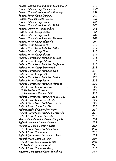| Federal Correctional Institution Cumberland          | 197 |
|------------------------------------------------------|-----|
| Federal Prison Camp Cumberland                       | 199 |
| <b>Federal Correctional Institution Danbury</b>      | 199 |
| Federal Prison Camp Danbury                          | 201 |
| <b>Federal Medical Center Devens</b>                 | 202 |
| Federal Prison Camp Devens                           | 203 |
| <b>Federal Correctional Institution Dublin</b>       | 203 |
| Federal Detention Center Dublin                      | 205 |
| Federal Prison Camp Dublin                           | 206 |
| <b>Federal Prison Camp Duluth</b>                    | 207 |
| Federal Correctional Institution Edgefield           | 208 |
| Federal Prison Camp Edgefield                        | 209 |
| Federal Prison Camp Eglin                            | 210 |
| <b>Federal Correctional Institution Elkton</b>       | 212 |
| Federal Prison Camp Elkton                           | 213 |
| Federal Prison Camp El Paso                          | 214 |
| <b>Federal Correctional Institution El Reno</b>      | 215 |
| Federal Prison Camp El Reno                          | 216 |
| Federal Correctional Institution Englewood           | 217 |
| Federal Prison Camp Englewood                        | 218 |
| <b>Federal Correctional Institution Estill</b>       | 219 |
| Federal Prison Camp Estill                           | 220 |
| <b>Federal Correctional Institution Fairton</b>      | 220 |
| <b>Federal Prison Camp Fairton</b>                   | 222 |
| <b>Federal Correctional Institution Florence</b>     | 222 |
| Federal Prison Camp Florence                         | 223 |
| U.S. Penitentiary Florence                           | 224 |
| U.S. Penitentiary Florence-ADX                       | 225 |
| <b>Federal Correctional Institution Forrest City</b> | 226 |
| <b>Federal Prison Camp Forrest City</b>              | 228 |
| <b>Federal Correctional Institution Fort Dix</b>     | 228 |
| <b>Federal Prison Camp Fort Dix</b>                  | 230 |
| <b>Federal Medical Center Fort Worth</b>             | 230 |
| <b>Federal Correctional Institution Greenville</b>   | 231 |
| <b>Federal Prison Camp Greenville</b>                | 232 |
| Metropolitan Detention Center Guaynabo               | 234 |
| <b>Federal Detention Center Honolulu</b>             | 235 |
| <b>Federal Detention Center Houston</b>              | 235 |
| <b>Federal Correctional Institution Jesup</b>        | 236 |
| Federal Prison Camp Jesup                            | 237 |
| Federal Correctional Institution La Tuna             | 238 |
| Federal Prison Camp La Tuna                          | 239 |
| <b>Federal Prison Camp Leavenworth</b>               | 240 |
| U.S. Penitentiary Leavenworth                        | 241 |
| Federal Prison Camp Lewisburg                        | 242 |
| Intensive Confinement Center Lewisburg               | 243 |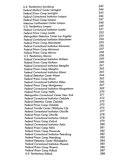| U.S. Penitentiary Lewisburg                        | 243 |
|----------------------------------------------------|-----|
| <b>Federal Medical Center Lexington</b>            | 244 |
| <b>Federal Prison Camp Lexington</b>               | 245 |
| <b>Federal Correctional Institution Lompoc</b>     | 246 |
| <b>Federal Prison Camp Lompoc</b>                  | 247 |
| Intensive Confinement Center Lompoc                | 248 |
| U.S. Penitentiary Lompoc                           | 249 |
| <b>Federal Correctional Institution Loretto</b>    | 251 |
| <b>Federal Prison Camp Loretto</b>                 | 252 |
| Metropolitan Detention Center Los Angeles          | 253 |
| <b>Federal Correctional Institution Manchester</b> | 254 |
| <b>Federal Prison Camp Manchester</b>              | 255 |
| <b>Federal Correctional Institution Marianna</b>   | 256 |
| Federal Prison Camp Marianna                       | 257 |
| <b>Federal Prison Camp Marion</b>                  | 258 |
| U.S. Penitentiary Marion                           | 258 |
| <b>Federal Correctional Institution McKean</b>     | 259 |
| Federal Prison Camp McKean                         | 260 |
| <b>Federal Correctional Institution Memphis</b>    | 261 |
| <b>Federal Prison Camp Memphis</b>                 | 262 |
| <b>Federal Correctional Institution Miami</b>      | 263 |
| Federal Detention Center Miami                     | 264 |
| Federal Prison Camp Miami                          | 265 |
| <b>Federal Correctional Institution Milan</b>      | 266 |
| <b>Federal Prison Camp Montgomery</b>              | 267 |
| <b>Federal Correctional Institution Morgantown</b> | 269 |
| <b>Federal Prison Camp Nellis</b>                  | 270 |
| Metropolitan Correctional Center New York          | 271 |
| <b>Federal Correctional Institution Oakdale</b>    | 272 |
| Federal Detention Center Oakdale                   | 273 |
| Federal Prison Camp Oakdale                        | 275 |
| Federal Transfer Center Oklahoma City              | 275 |
| <b>Federal Correctional Institution Otisville</b>  | 277 |
| <b>Federal Prison Camp Otisville</b>               | 278 |
| Federal Correctional Institution Oxford            | 278 |
| Federal Prison Camp Oxford                         | 279 |
| <b>Federal Correctional Institution Pekin</b>      | 280 |
| Federal Prison Camp Pekin                          | 281 |
| Federal Prison Camp Pensacola                      | 282 |
| Federal Correctional Institution Petersburg        | 282 |
| Federal Prison Camp Petersburg                     | 283 |
| Federal Detention Center Philadelphia              | 284 |
| Federal Correctional Institution Phoenix           | 285 |
| Federal Prison Camp Phoenix                        | 286 |
| Federal Prison Camp Pollock                        | 287 |
| U.S. Penitentiary Pollock                          | 288 |
|                                                    |     |